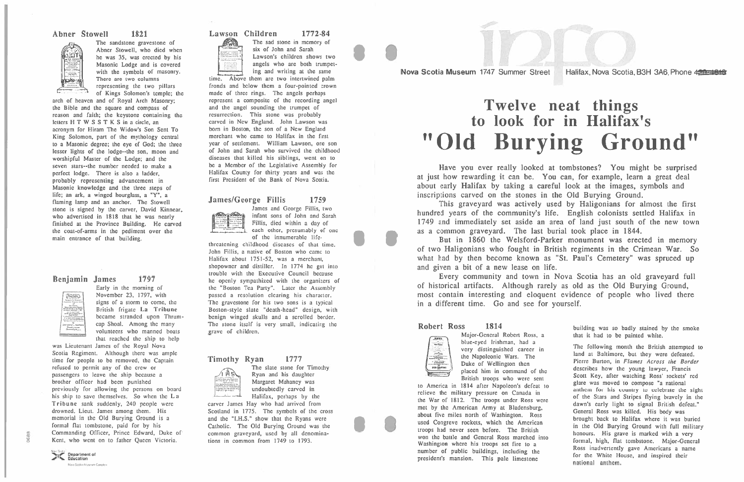The sandstone gravestone of  $\mathbb{Z}$  Abner Stowell, who died when he was 35, was erected by his Masonic Lodge and is covered with the symbols of masonry There are two columns representing the two pillars

of Kings Solomon's temple; the arch of heaven and of Royal Arch Masonry; the Bible and the square and compass of reason and faith; the keystone containing the letters H T W S S T K S in a circle, an acronym for Hiram The Widow's Son Sent To King Solomon, par<sup>t</sup> of the mythology central to a Masonic degree; the eye of God; the three lesser lights of the lodge--the son, moon and worshipful Master of the Lodge; and the seven stars--the number needed to make a perfect lodge. There is also <sup>a</sup> ladder, probably representing advancement in Masonic knowledge and the three steps of life; an ark, <sup>a</sup> winged hourglass, <sup>a</sup> "Y", <sup>a</sup> flaming lamp and an anchor. The Stowell stone is signed by the carver, David Kinnear who advertised in 1818 that he was nearly finished at the Province Building. He carved the coat-of-arms in the pediment over the main entrance of that building. being the small the manufature of the manufator of the manufator of the manufator of the manufator of the many of Kings Solomon's temperature of the many of Kings Solomon's temperature of the many of Kings Solomon's tempe

#### Benjamin James



Early in the morning of November 23, 1797, with signs of <sup>a</sup> storm to come, the British frigate La Tribune became stranded upon Thrum volunteers who manned boat that reached the ship to help

was Lieutenant James of the Royal Nova Scotia Regiment. Although there was ample time for people to be removed, the Captain refused to permit any of the crew or passengers to leave the ship because <sup>a</sup> brother officer had been punished previously for allowing the persons on board his ship to save themselves. So when the La Tribune sank suddenly, 240 people were drowned, Lieut. James among them. His memorial in the Old Burying Ground is <sup>a</sup> formal flat tombstone, paid for by his Commanding Officer, Prince Edward, Duke of Kent, who went on to father Queen Victoria.

22.0001

Lawson Children 1772-84 The sad stone in memory of six of John and Sarah

Lawson's children shows two angels who are both trumpet ing and writing at the same

1797

This graveyard was actively used by Haligonians for almost the firs hundred years of the community's life. English colonists settled Halifax in 1749 and immediately set aside an area of land just south of the new town as a common graveyard. The last burial took place in 1844.

#### Abner Stowel 1821



James and George Fillis, two infant sons of John and Sarah Fillis, died within <sup>a</sup> day of  $\Box$  each other, presumably of one of the innumerable life-

#### The slate stone for Timothy Ryan and his daughter Margaret Mahaney was undoubtedly carved in Halifax, perhaps by the

## "Old Burying Ground" Twelve neat things to look for in Halifax's

Nova Scotia Museum 1747 Summer Street Halifax, Nova Scotia, B3H 3A6, Phone 420-4848 I

> Have you ever really looked at tombstones? You might be surprised at just how rewarding it can be. You can, for example, learn a grea<sup>t</sup> deal about early Halifax by taking a careful look at the images, symbols and inscriptions carved on the stones in the Old Burying Ground.

> But in 1860 the Welsford-Parker monument was erected in memory of two Haligonians who fought in British regiments in the Crimean War. So what had by then become known as "St. Paul's Cemetery" was spruced up and given <sup>a</sup> bit of a new lease on life.

> > Major-General Robert Ross, <sup>a</sup> blue-eyed Irishman, had <sup>a</sup> very distinguished career in the Napoleonic Wars. The Duke of Wellington then placed him in command of the British troops who were sen

to America in 1814 after Napoleon's defeat to relieve the military pressure on Canada in the War of 1812. The troops under Ross were met by the American Army at Bladensburg about five miles north of Washington. Ros. used Congreve rockets, which the American troops had never seen before. The British won the battle and General Ross marched into Washington where his troops set fire to <sup>a</sup> number of public buildings, including the president's mansion. This pale limestone Nova Scolar Museum Complets **no. 1998. national anthem** 



**TIC** Department of Nova Scotia Museum Corpole

Every community and town in Nova Scotia has an old graveyard full of historical artifacts. Although rarely as old as the Old Burying Ground, most contain interesting and eloquent evidence of people who lived there in a different time. Go and see for yourself.

> building was so badly stained by the smoke that it had to be painted white.

The following month the British attempted to land at Baltimore, but they were defeated Pierre Burton, in Flames Across the Border describes how the young lawyer, Francis Scott Key, after watching Ross' rockets' red glare was moved to compose "a national anthem for his country to celebrate the sight of the Stars and Stripes flying bravely in the dawn's early light to signal British defeat. General Ross was killed. His body was brought back to Halifax where it was buried in the Old Burying Ground with full military honours. His grave is marked with <sup>a</sup> very formal, high, flat tombstone. Major-General Ross inadvertently gave Americans a name for the White House, and inspired their national anthem.

time. Above them are two intertwined palm fronds and below them <sup>a</sup> four-pointed crown made of three rings. The angels perhaps represen<sup>t</sup> <sup>a</sup> composite of the recording angel and the angel sounding the trumpet of resurrection. This stone was probably carved in New England. John Lawson was born in Boston, the son of a New England merchant who came to Halifax in the first year of settlement. william Lawson, one son of John and Sarah who survived the childhood diseases that killed his siblings, went on to be a Member of the Legislative Assembly for Halifax County for thirty years and was the first President of the Bank of Nova Scotia.

#### James/George Fillis 1759



#### 1814Robert Ross



threatening childhood diseases of that time. John Fillis, a native of Boston who came to Halifax about 1751-52, was <sup>a</sup> merchant, shopowner and distiller. In 1774 he got into trouble with the Executive Council because he openly sympathized with the organizers of the "Boston Tea Party". Later the Assembly passed <sup>a</sup> resolution clearing his character. The gravestone for his two sons is a typical Boston-style slate "death-head" design, with benign winged skulls and <sup>a</sup> scrolled border. The stone itself is very small, indicating the grave of children.

#### Timothy Ryan 1777



carver James Hay who had arrived from Scotland in 1775. The symbols of the cross and the "I.H.S." show that the Ryans were Catholic. The Old Burying Ground was the common graveyard, used by all denomina tions in common from 1749 to 1793.

I

I

I